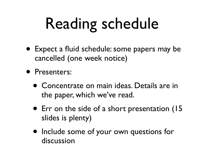## Reading schedule

- Expect a fluid schedule: some papers may be cancelled (one week notice)
- Presenters:
	- Concentrate on main ideas. Details are in the paper, which we've read.
	- Err on the side of a short presentation (15 slides is plenty)
	- Include some of your own questions for discussion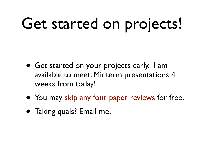## Get started on projects!

- Get started on your projects early. I am available to meet. Midterm presentations 4 weeks from today!
- You may skip any four paper reviews for free.
- Taking quals? Email me.